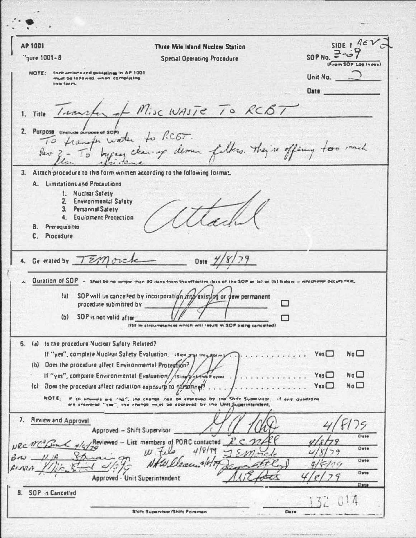| <b>AP 1001</b>                                          | Three Mile Island Nuclear Station                                                                                                 | SIDE 1 REV                             |
|---------------------------------------------------------|-----------------------------------------------------------------------------------------------------------------------------------|----------------------------------------|
| "gure 1001-8                                            | <b>Special Operating Procedure</b>                                                                                                | SOP No. $= -5$<br>(From SOP Los Indes) |
| NOTE: Inmuctions and guidelines in AP 1001              |                                                                                                                                   | Unit No. $\bigcirc$                    |
| must be followed when completing<br>this form.          |                                                                                                                                   |                                        |
|                                                         |                                                                                                                                   | Date                                   |
|                                                         | 1. Title Turnster of Misc WASTE TO RCBT                                                                                           |                                        |
|                                                         |                                                                                                                                   |                                        |
| 2. Purpose (Include purpose of SOP)                     |                                                                                                                                   |                                        |
|                                                         |                                                                                                                                   |                                        |
|                                                         | To transfer water to RCGT.<br>Per 3- To bygan clearing demin fillers. They're offing too much                                     |                                        |
|                                                         | 3. Attach procedure to this form written according to the following format.                                                       |                                        |
| A. Limitations and Precautions                          |                                                                                                                                   |                                        |
| 1. Nuclear Safety                                       |                                                                                                                                   |                                        |
| 2. Environmental Safety<br>3. Personnel Salety          |                                                                                                                                   |                                        |
| 4. Equipment Protection                                 |                                                                                                                                   |                                        |
| <b>B.</b> Prerequisites                                 |                                                                                                                                   |                                        |
| C. Procedure                                            |                                                                                                                                   |                                        |
| 4. Ge wated by TEM orche                                | Date $\frac{1}{8}$                                                                                                                |                                        |
|                                                         |                                                                                                                                   |                                        |
|                                                         | Duration of SOP - Shall be no longer than 90 days from the effective date of the SOP or (a) or (b) below - mhichever occurs firm, |                                        |
| $\{a\}$                                                 | SOP will be cancelled by incorporation mto existing or dew permanent                                                              |                                        |
|                                                         |                                                                                                                                   |                                        |
| SOP is not valid after<br>(b)                           |                                                                                                                                   |                                        |
|                                                         | (fill in circumstances which will result in SOP being cancelled)                                                                  |                                        |
| 6. (a) Is the procedure Nuclear Safety Related?         |                                                                                                                                   |                                        |
|                                                         | If "yes", complete Nuclear Safety Evaluation. Issue and intuitormy.<br>.                                                          | No <sup>1</sup><br>Yes                 |
| (b) Does the procedure affect Environmental Protestion? |                                                                                                                                   |                                        |
|                                                         | It "yes", complete Environmental Evaluation, /siay youthor orman and an annual and an                                             | $N_0 \Box$<br>$Y_{01}$ $\Box$          |
|                                                         | (c) Does the procedure affect radiation exposure to $\frac{1}{2}$ and $\frac{1}{2}$ $\frac{1}{2}$                                 | No <sup>1</sup><br>$Y$ as $\Box$       |
| NOTE: If all officials are "not" the change new         | Shift Supervisor, if any quanto<br>$A - B = 1B$<br>the change must be sporoved by the Unit Superintendent,                        |                                        |
| 7. Review and Approval                                  |                                                                                                                                   |                                        |
|                                                         | Approved - Shift Supervisor                                                                                                       | 25                                     |
|                                                         | Reviewed - List members of PORC contacted                                                                                         | Date                                   |
|                                                         | 418/79                                                                                                                            | Dete                                   |
|                                                         |                                                                                                                                   | Date                                   |
|                                                         | Approved - Unit Superintendent                                                                                                    | 0.19                                   |
| <b>SOP</b> is Cancelled<br>8.                           |                                                                                                                                   | Date                                   |
|                                                         |                                                                                                                                   |                                        |
|                                                         | <b>SNItt Supervisor/Shift Foreman</b>                                                                                             | Dete                                   |

 $\cdot$  .

 $\cdot$  .

plant in a strain with the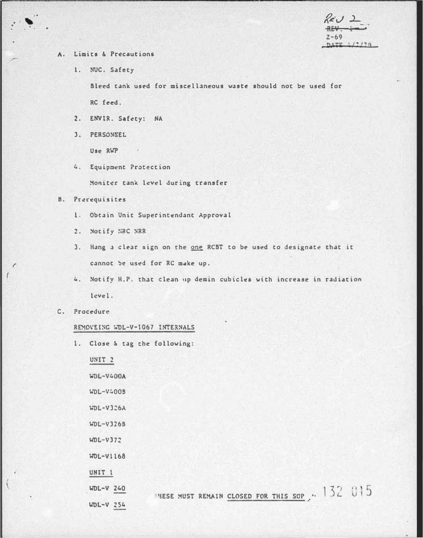$7 - 69$ DATE 4/2/20

- Limits & Precautions Α.
	- 1. NUC. Safety

Bleed tank used for miscellaneous waste should not be used for RC feed.

- 2. ENVIR. Safety: NA
- 3. PERSONNEL

Use RWP

4. Equipment Protection

Moniter tank level during transfer

## **B.** Prerequisites

- 1. Obtain Unit Superintendant Approval
- 2. Notify NRC NRR
- 3. Hang a clear sign on the one RCBT to be used to designate that it cannot be used for RC make up.
- 4. Notify H.P. that clean up demin cubicles with increase in radiation level.
- C. Procedure

## REMOVEING WDL-V-1067 INTERNALS

1. Close & tag the following:

UNIT<sub>2</sub> WDL-V400A WDL-V4005 **WDL-V326A**  $WDL-V3265$  $WDL-V372$  $40L - V1168$ UNIT 1  $WDL-V$  240

 $WDL-V$  254

INESE MUST REMAIN CLOSED FOR THIS SOP ... 132 015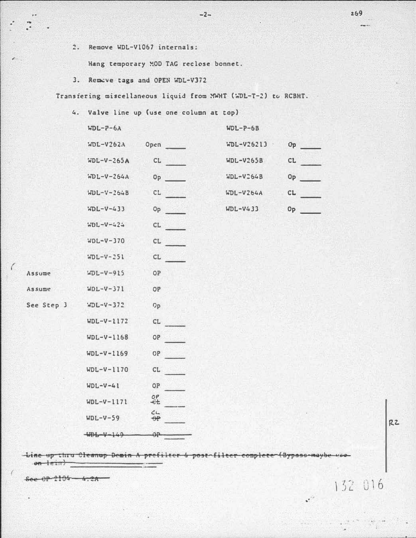2. Remove WDL-V1067 internals:

Hang temporary MOD TAG reclose bonnet.

3. Remove tags and OPEN WDL-V372

Transfering miscellaneous liquid from MWHT (WDL-T-2) to RCBHT.

 $-2-$ 

4. Valve line up (use one column at top)

| $WDL-P-6A$   |                                                                                                                | $WDL-P-6B$       |                           |
|--------------|----------------------------------------------------------------------------------------------------------------|------------------|---------------------------|
| $MDL-V262A$  | Open and the set of the set of the set of the set of the set of the set of the set of the set of the set of th | WDL-V26213       | Op                        |
| $WDL-V-265A$ | CL                                                                                                             | <b>WDL-V265B</b> | CL.                       |
| $WDL-V-264A$ | 0 <sub>p</sub>                                                                                                 | WDL-V264B        | Op                        |
| $HDL-Y-264B$ | CL.<br>19 S G D                                                                                                | $WDL-V264A$      | CL.<br><u>in eta 1991</u> |
| $MDL-V-433$  | <b>Op</b>                                                                                                      | $WDL-V433$       | 0 <sub>P</sub>            |
| $WDL-V-424$  | CL                                                                                                             |                  |                           |
| $WDL-V-370$  | CL                                                                                                             |                  |                           |
| $WDL-V-251$  | CL                                                                                                             |                  |                           |
| $WDL-V-915$  | <b>OP</b>                                                                                                      |                  |                           |
| $WDL-V-371$  | <b>OP</b>                                                                                                      |                  |                           |
| $WDL-V-372$  | 0 <sub>p</sub>                                                                                                 |                  |                           |
| $WDL-V-1172$ | CL.                                                                                                            |                  |                           |
|              |                                                                                                                |                  |                           |

-Line up thru Cleanup Demin A prefilter & post filter complete (Bypass-maybe on leint

 $OP$ 

 $OP$ 

 $CL$ 

OP OF

 $rac{OP}{dt}$ 

 $rac{c}{\theta P}$ 

 $\Theta$ <sup>p</sup>

 $6e$   $e$   $9P$   $2104 - 4.2A$ 

Assume **Assume** 

See Step 3

 $WDL-V-1168$ 

 $WDL-V-1169$ 

 $WDL-V-1170$ 

 $WDL-V-41$ 

 $WDL-V-59$ 

 $+406++149$ 

 $WDL-V-1171$ 

RZ

132 016

 $\mathbf{r}$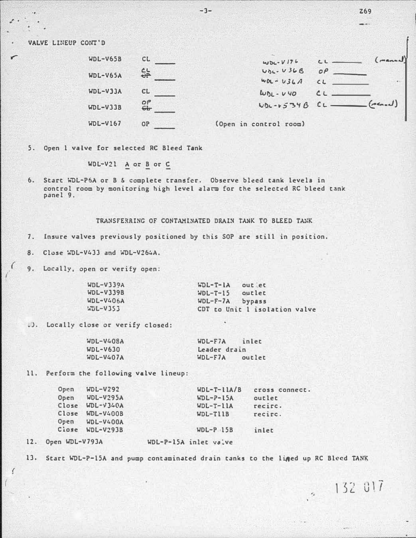VALVE LINEUP CONT'D

| $WDL-V65B$ | CL             | $WDL - V176$           | L1 | (manual)        |
|------------|----------------|------------------------|----|-----------------|
| $WDL-V65A$ | 유              | $VbL - V36B$           | OP |                 |
|            |                | $WDL - U3LA$           |    |                 |
| WDL-V33A   | CL             | $W_{01} - V_{90}$      |    |                 |
| $WDL-V33B$ | $\frac{5}{64}$ | $UDL - V534B$          |    | $(\text{mean})$ |
| $WDL-V167$ | <b>OP</b>      | (Open in control room) |    | a               |

**Z69** 

132 017

 $\epsilon_z$ 

5. Open 1 valve for selected RC Bleed Tank

WDL-V21  $\triangle$  or  $\triangle$  or  $\underline{C}$ 

6. Start WDL-P6A or B & complete transfer. Observe bleed tank levels in control room by monitoring high level alarm for the selected RC bleed tank panel 9.

## TRANSFERRING OF CONTAMINATED DRAIN TANK TO BLEED TANK

 $-3-$ 

 $7.$ Insure valves previously positioned by this SOP are still in position.

8. Close WDL-V433 and WDL-V264A.

9. Locally, open or verify open:

| $WDL-V339A$      | WDL-T-LA out et               |
|------------------|-------------------------------|
| $WDL-V339B$      | $HDL-T-15$<br>outlet          |
| <b>WDL-V406A</b> | $WDL-F-7A$ bypass             |
| $kDL-V353$       | CDT to Unit 1 isolation valve |

W). Locally close or verify closed:

 $\sqrt{ }$ 

| $WDL-V408A$ | $WDL-FIA$<br>inlet  |
|-------------|---------------------|
| $WDL-V630$  | Leader drain        |
| $WDL-V407A$ | $WDL-F7A$<br>outlet |

11. Perform the following valve lineup:

| Open                  | $WDL-V292$        | $WDL-T-11A/B$         | cross connect |
|-----------------------|-------------------|-----------------------|---------------|
| Open                  | $WDL-V295A$       | $WDL-P-15A$           | outlet        |
|                       | $Close$ WDL-V340A | $WDL-T-11A$           | recirc.       |
|                       | Close WDL-V400B   | $WDL-T11B$            | recirc.       |
| Open                  | WDL-V400A         |                       |               |
|                       | Close WDL-V293B   | $WDL-P$ 15B           | inlet         |
| Open WDL-V793A<br>12. |                   | WDL-P-15A inlet valve |               |

13. Start WDL-P-15A and pump contaminated drain tanks to the lined up RC Bleed TANK